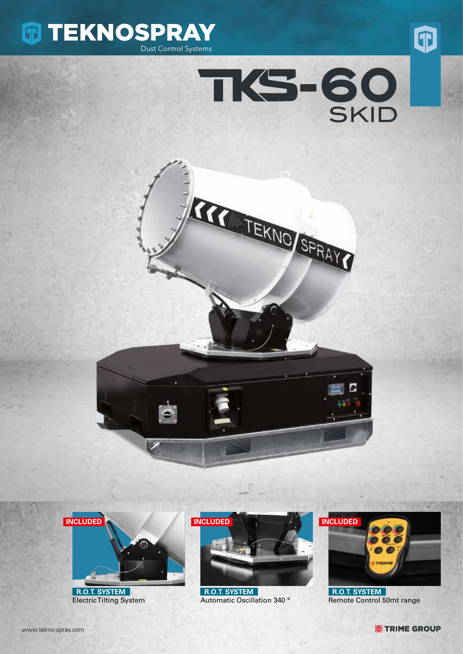









 **R.O.T. SYSTEM** Electric Tilting System



 **R.O.T. SYSTEM** Automatic Oscillation 340 °



 **R.O.T. SYSTEM** Remote Control 50mt range